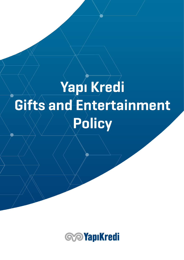# Yapı Kredi Gifts and Entertainment Policy

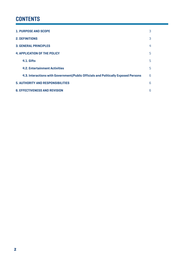# **CONTENTS**

| <b>1. PURPOSE AND SCOPE</b>                                                        | 3 |
|------------------------------------------------------------------------------------|---|
| <b>2. DEFINITIONS</b>                                                              | 3 |
| <b>3. GENERAL PRINCIPLES</b>                                                       | 4 |
| <b>4. APPLICATION OF THE POLICY</b>                                                | 5 |
| 4.1. Gifts                                                                         | 5 |
| <b>4.2. Entertainment Activities</b>                                               | 5 |
| 4.3. Interactions with Government/Public Officials and Politically Exposed Persons | 6 |
| <b>5. AUTHORITY AND RESPONSIBILITIES</b>                                           |   |
| <b>6. EFFECTIVENESS AND REVISION</b>                                               |   |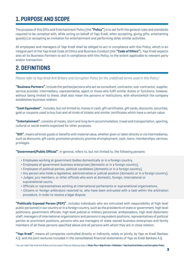## 1. PURPOSE AND SCOPE

The purpose of this Gifts and Entertainment Policy (the **"Policy"**) is to set forth the general rules and standards required to be complied with, while acting on behalf of Yapı Kredi, when accepting, giving gifts, entertaining guest(s) or accepting an invitation for entertainment and performing other similar activities.

All employees and managers of Yapı Kredi shall be obliged to act in compliance with this Policy, which is an integral part of the Yapı Kredi Code of Ethics and Business Conduct (the **"Code of Ethics"**). Yapı Kredi expects also all its Business Partners to act in compliance with this Policy, to the extent applicable to relevant party and/or transaction.

## 2. DEFINITIONS

*Please refer to Yapı Kredi Anti Bribery and Corruption Policy for the undefined terms used in this Policy.1*

**"Business Partners"**, include the parties/persons who act as consultant, contractor, sub-contractor, supplier, service provider, intermediary, representative, agent or those who fulfil similar duties or functions; however, without being limited to these, shall also mean the persons or institutions, with whom/which the company establishes business relation.

**"Cash Equivalent"**, includes, but not limited to, money in cash, gift certificates, gift cards, discounts, securities, gold or coupons used to buy fuel and all kinds of tickets and similar certificates which have a certain value.

**"Entertainment"**, consists of meals, short and long term accommodation, travel and transportation, sporting, cultural or social events organized for other purposes.

**"Gift"**, means all kinds goods or benefits with material value, whether given or taken directly or via intermediaries, such as discounts, gift cards, promotion products, promise of employment, cash, loans, memberships, services, privileges.

**"Government/Public Official"**, in general, refers to, but not limited to, the following persons:

- ¬ Employees working at government bodies domestically or in a foreign country,
- ¬ Employees of government business enterprises (domestic or in a foreign country),
- ¬ Employees of political parties, political candidates (domestic or in a foreign country),
- ¬ Any person who holds a legislative, administrative or judicial position (domestic or in a foreign country),
- ¬ Judges, jury members, or other officials who work at domestic, foreign, international or supranational courts,
- ¬ Officials or representatives working at international parliaments or supranational organizations,
- ¬ Citizens or foreign arbitrators resorted to, who have been entrusted with a task within the arbitration procedure, in order to resolve a legal dispute.

**"Politically Exposed Person (PEP)"**, includes individuals who are entrusted with responsibility of high level public personnel in our country or in a foreign country, such as the presidents of state or government, high level politicians, government officials, high level judicial or military personnel, ambassadors, high level diplomatic staff, managers of international organizations and persons in equivalent positions, representatives of political parties at prominent positions, persons who are managers of state-owned business enterprises and family members of all these persons specified above and all persons with whom they are in close relation.

**"Yapı Kredi"**, means all companies controlled directly or indirectly, solely or jointly, by Yapı ve Kredi Bankası A.Ş. and the joint ventures included in the consolidated financial statements of Yapı ve Kredi Bankası A.Ş.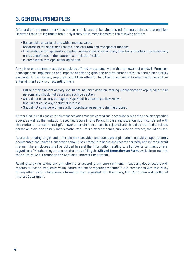# 3. GENERAL PRINCIPLES

Gifts and entertainment activities are commonly used in building and reinforcing business relationships. However, these are legitimate tools, only if they are in compliance with the following criteria:

- ¬ Reasonable, occasional and with a modest value,
- ¬ Recorded in the books and records in an accurate and transparent manner,
- ¬ In accordance with generally accepted business practices (with any intentions of bribes or providing any undue benefit, not in the nature of commission/stake),
- ¬ In compliance with applicable legislation.

Any gift or entertainment activity should be offered or accepted within the framework of goodwill. Purposes, consequences implications and impacts of offering gifts and entertainment activities should be carefully evaluated. In this respect, employees should pay attention to following requirements when making any gift or entertainment activity or accepting them:

- ¬ Gift or entertainment activity should not influence decision-making mechanisms of Yapı Kredi or third persons and should not cause any such perception,
- ¬ Should not cause any damage to Yapı Kredi, if become publicly known,
- ¬ Should not cause any conflict of interest,
- ¬ Should not coincide with an auction/purchase agreement signing process.

At Yapı Kredi, all gifts and entertainment activities must be carried out in accordance with the principles specified above, as well as the limitations specified above in this Policy. In case any situation not in consistent with these criteria, is encountered, gift and/or entertainment should be rejected and should be returned to related person or institution politely. In this matter, Yapı Kredi's letter of thanks, published on internet, should be used.

Approvals relating to gift and entertainment activities and adequate explanations should be appropriately documented and related transactions should be entered into books and records correctly and in transparent manner. The employees shall be obliged to send the information relating to all gift/entertainment offers, regardless of whether they are accepted or not, by filling the **Gift and Entertainment Form**, available on internet, to the Ethics, Anti-Corruption and Conflict of Interest Department.

Relating to giving, taking any gift, offering or accepting any entertainment, in case any doubt occurs with regards to reason, frequency, value, nature thereof or regarding whether it is in compliance with this Policy for any other reason whatsoever, information may requested from the Ethics, Anti-Corruption and Conflict of Interest Department.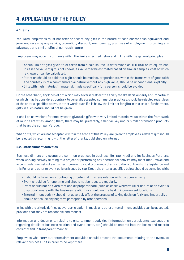#### **4.1. Gifts**

Yapı Kredi employees must not offer or accept any gifts in the nature of cash and/or cash equivalent and jewellery, receiving any service/promotion, discount, membership, promises of employment, providing any advantage and similar gifts of non-cash nature.

Employees may accept a gift, only within the limits specified below and in line with the general principles.

- ¬ Annual limit of gifts given to or taken from a sole source, is determined as 100 USD or its equivalent. In case the value of gift is not known, its value may be estimated based on similar samples, cost of which is known or can be calculated.
- ¬ Attention should be paid that a gift should be modest, proportionate, within the framework of good faith and courtesy, is of a commemorative nature without any high value, should be unconditional explicitly.
- ¬ Gifts with high material/immaterial, made specifically for a person, should be avoided.

On the other hand, any kinds of gift which may adversely affect the ability to take decision fairly and impartially or which may be considered contrary to generally accepted commercial practices, should be rejected regardless of the criteria specified above, in other words even if it is below the limit set for gifts in this article; furthermore, gifts in such nature should not be given.

It shall be convenient for employees to give/take gifts with very limited material value within the framework of routine activities. Among them, there may be, preferably, calendar, key ring or similar promotion products that bears the company's logo.

When gifts, which are not acceptable within the scope of this Policy, are given to employees, relevant gift should be rejected by returning it with the letter of thanks, published on internet.

#### **4.2. Entertainment Activities**

Business dinners and events are common practices in business life. Yapı Kredi and its Business Partners, when working actively relating to a project or performing any operational activity, may meet meal, travel and accommodation costs of each other. However, to avoid occurrence of any situation contrary to the legislation and this Policy and other relevant policies issued by Yapı Kredi, the criteria specified below should be complied with:

- ¬ It should be based on a continuing or potential business relation with the counterparty.
- ¬ Event should be for one time and should not be repeated regularly.
- ¬ Event should not be exorbitant and disproportionate (such as cases where value or nature of an event is disproportionate with the business relation) or should not be held in inconvenient locations.
- ¬ Entertainment activity should not adversely affect the process of taking decision fairly and impartially or should not cause any negative perception by other persons.

In line with the criteria defined above, participation in meals and other entertainment activities can be accepted, provided that they are reasonable and modest.

Information and documents relating to entertainment activities (information on participants, explanations regarding details of business relation and event, costs, etc.) should be entered into the books and records correctly and in transparent manner.

Employees who carry out entertainment activities should present the documents relating to the event, to relevant business unit in order to be kept there.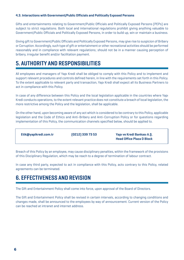#### **4.3. Interactions with Government/Public Officials and Politically Exposed Persons**

Gifts and entertainments relating to Government/Public Officials and Politically Exposed Persons (PEPs) are subject to strict regulations. Both local and international regulations prohibit giving anything valuable to Government/Public Officials and Politically Exposed Persons, in order to build up, win or maintain a business.

Giving gift to Government/Public Officials and Politically Exposed Persons, may give rise to suspicion of Bribery or Corruption. Accordingly, such type of gift or entertainment or other recreational activities should be performed reasonably and in compliance with relevant regulations; should not be in a manner causing perception of bribery, irregular benefit and/or facilitation payment.

# 5. AUTHORITY AND RESPONSIBILITIES

All employees and managers of Yapı Kredi shall be obliged to comply with this Policy and to implement and support relevant procedures and controls defined herein, in line with the requirements set forth in this Policy. To the extent applicable to relevant party and transaction, Yapı Kredi shall expect all its Business Partners to act in compliance with this Policy.

In case of any difference between this Policy and the local legislation applicable in the countries where Yapı Kredi conducts operations, to the extent relevant practice does not constitute a breach of local legislation, the more restrictive among the Policy and the legislation, shall be applicable.

On the other hand, upon becoming aware of any act which is considered to be contrary to this Policy, applicable legislation and the Code of Ethics and Anti-Bribery and Anti-Corruption Policy or for questions regarding implementation of this Policy, the communication channels specified below, should be applied to.

| Etik@yapikredi.com.tr | [0212] 339 73 53 | Yapı ve Kredi Bankası A.Ş.<br><b>Head Office Plaza D Block</b> |
|-----------------------|------------------|----------------------------------------------------------------|
|                       |                  |                                                                |

Breach of this Policy by an employee, may cause disciplinary penalties, within the framework of the provisions of this Disciplinary Regulation, which may be reach to a degree of termination of labour contract.

In case any third party, expected to act in compliance with this Policy, acts contrary to this Policy, related agreements can be terminated.

### 6. EFFECTIVENESS AND REVISION

The Gift and Entertainment Policy shall come into force, upon approval of the Board of Directors.

The Gift and Entertainment Policy shall be revised in certain intervals, according to changing conditions and changes made, shall be announced to the employees by way of announcement. Current version of the Policy can be reached at intranet and internet address.